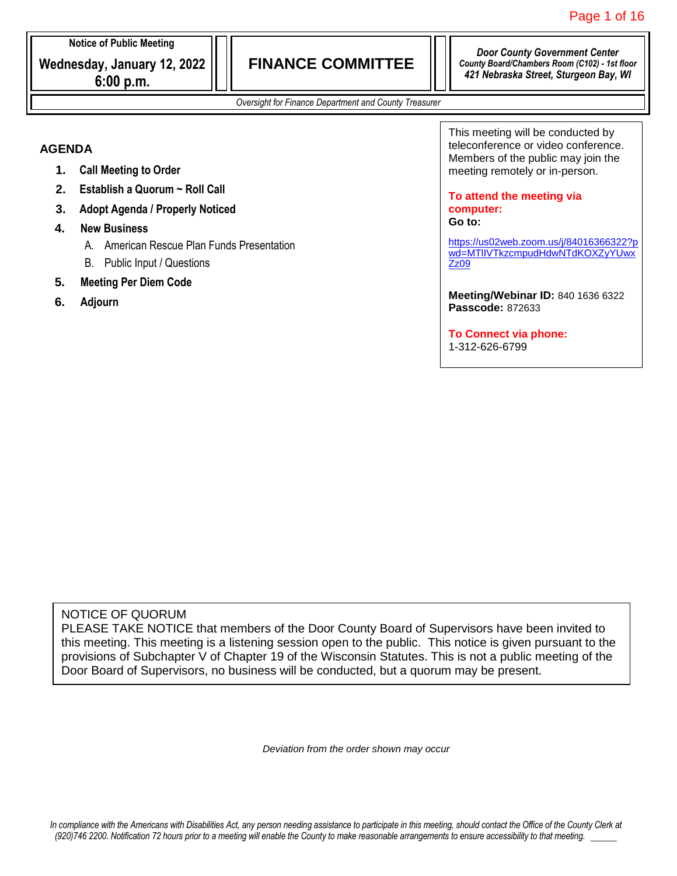*Door County Government Center County Board/Chambers Room (C102) - 1st floor 421 Nebraska Street, Sturgeon Bay, WI*

*Oversight for Finance Department and County Treasurer*

#### **AGENDA**

- **1. Call Meeting to Order**
- **2. Establish a Quorum ~ Roll Call**
- **3. Adopt Agenda / Properly Noticed**
- **4. New Business**
	- A. American Rescue Plan Funds Presentation
	- B. Public Input / Questions
- **5. Meeting Per Diem Code**
- **6. Adjourn**

This meeting will be conducted by teleconference or video conference. Members of the public may join the meeting remotely or in-person.

**To attend the meeting via computer: Go to:**

[https://us02web.zoom.us/j/84016366322?p](https://us02web.zoom.us/j/84016366322?pwd=MTlIVTkzcmpudHdwNTdKOXZyYUwxZz09) [wd=MTlIVTkzcmpudHdwNTdKOXZyYUwx](https://us02web.zoom.us/j/84016366322?pwd=MTlIVTkzcmpudHdwNTdKOXZyYUwxZz09) [Zz09](https://us02web.zoom.us/j/84016366322?pwd=MTlIVTkzcmpudHdwNTdKOXZyYUwxZz09)

**Meeting/Webinar ID:** 840 1636 6322 **Passcode:** 872633

**To Connect via phone:** 1-312-626-6799

#### NOTICE OF QUORUM

PLEASE TAKE NOTICE that members of the Door County Board of Supervisors have been invited to this meeting. This meeting is a listening session open to the public. This notice is given pursuant to the provisions of Subchapter V of Chapter 19 of the Wisconsin Statutes. This is not a public meeting of the Door Board of Supervisors, no business will be conducted, but a quorum may be present.

*Deviation from the order shown may occur*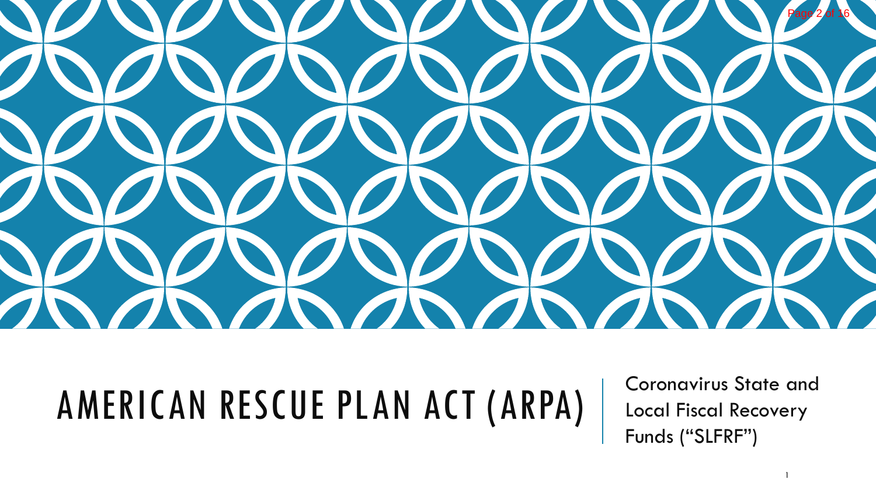

# AMERICAN RESCUE PLAN ACT (ARPA)

Coronavirus State and Local Fiscal Recovery Funds ("SLFRF")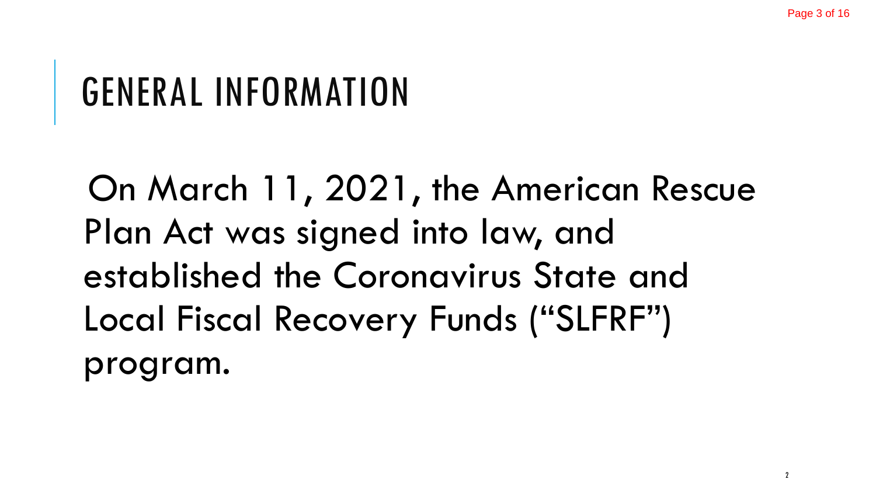#### GENERAL INFORMATION

On March 11, 2021, the American Rescue Plan Act was signed into law, and established the Coronavirus State and Local Fiscal Recovery Funds ("SLFRF") program.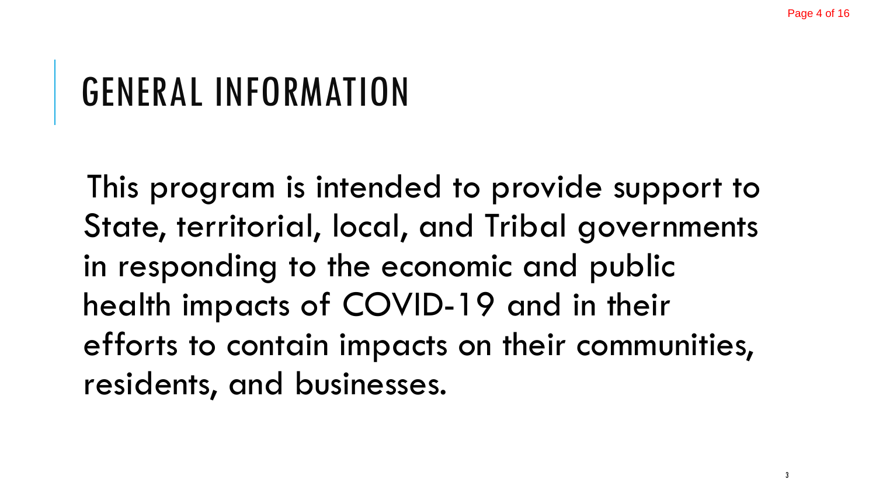#### GENERAL INFORMATION

This program is intended to provide support to State, territorial, local, and Tribal governments in responding to the economic and public health impacts of COVID-19 and in their efforts to contain impacts on their communities, residents, and businesses.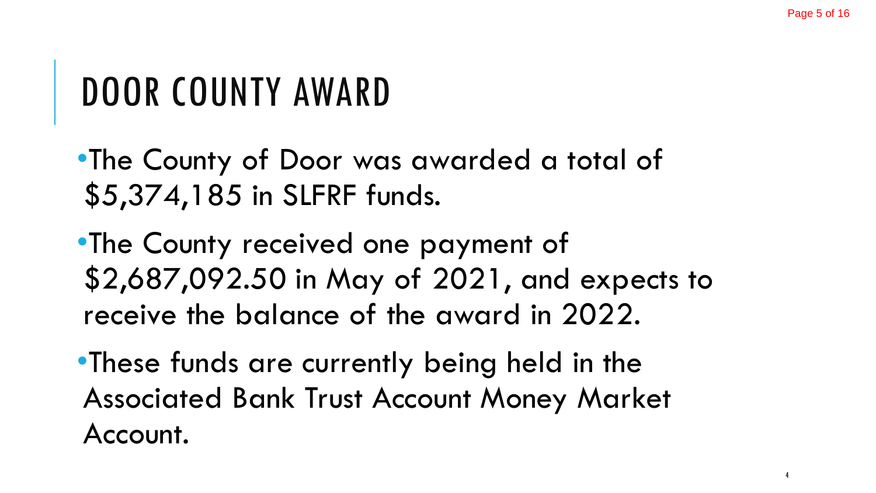#### DOOR COUNTY AWARD

- •The County of Door was awarded a total of \$5,374,185 in SLFRF funds.
- •The County received one payment of \$2,687,092.50 in May of 2021, and expects to receive the balance of the award in 2022.
- •These funds are currently being held in the Associated Bank Trust Account Money Market Account.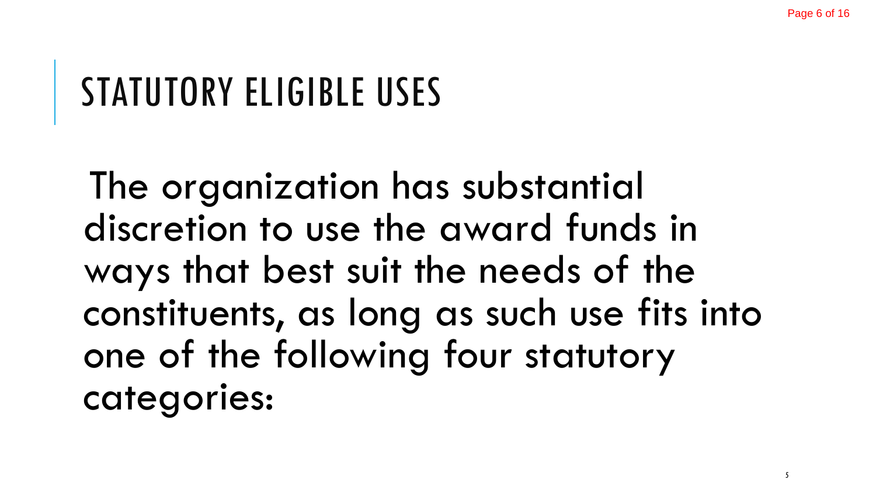#### STATUTORY ELIGIBLE USES

The organization has substantial discretion to use the award funds in ways that best suit the needs of the constituents, as long as such use fits into one of the following four statutory categories: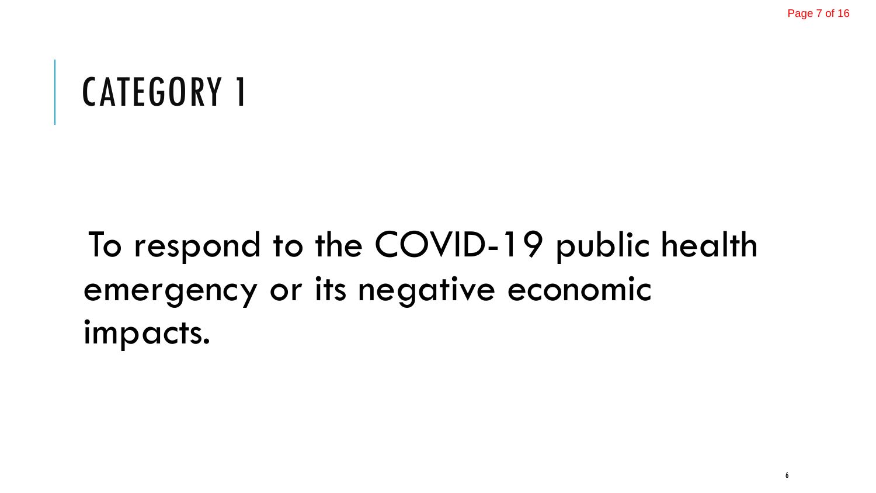#### To respond to the COVID-19 public health emergency or its negative economic impacts.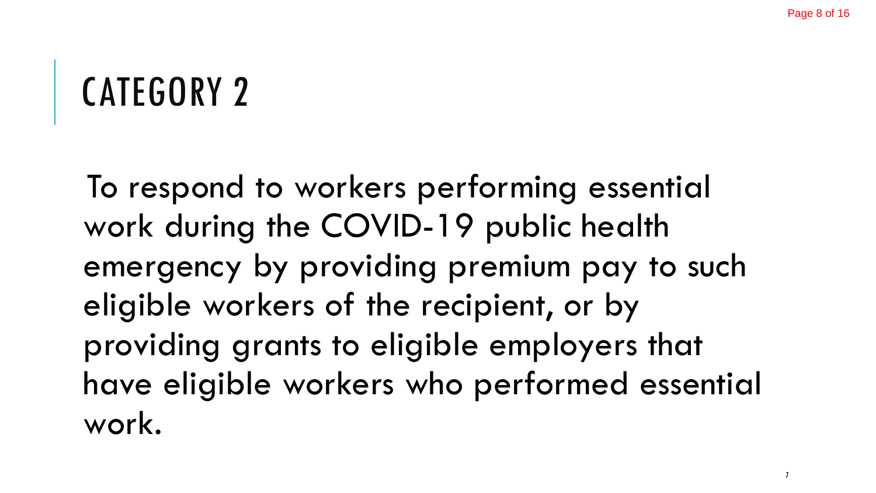To respond to workers performing essential work during the COVID-19 public health emergency by providing premium pay to such eligible workers of the recipient, or by providing grants to eligible employers that have eligible workers who performed essential work.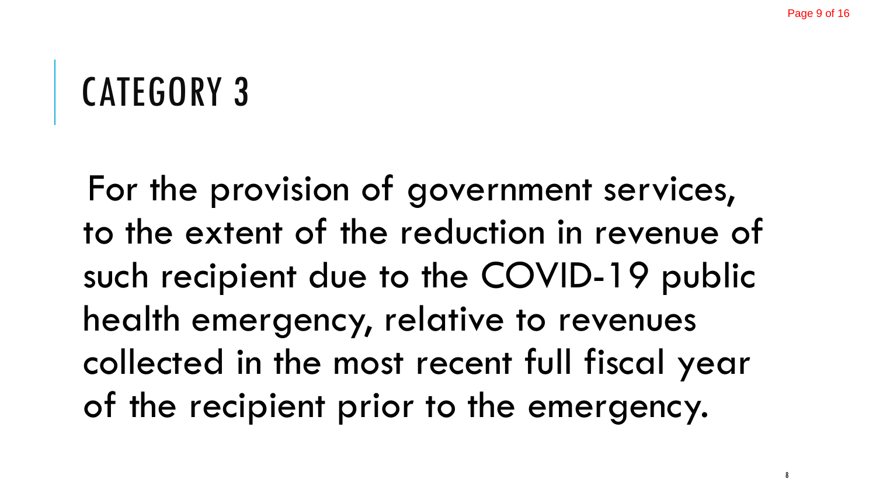For the provision of government services, to the extent of the reduction in revenue of such recipient due to the COVID-19 public health emergency, relative to revenues collected in the most recent full fiscal year of the recipient prior to the emergency.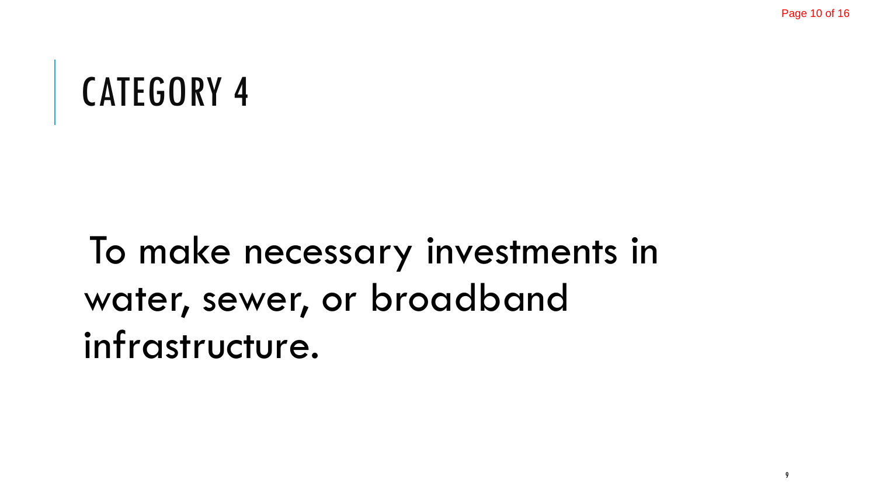## To make necessary investments in water, sewer, or broadband infrastructure.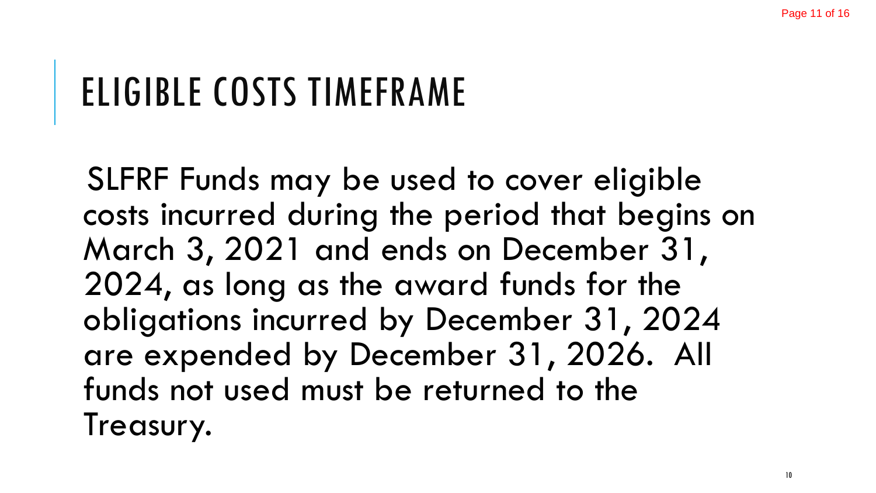## ELIGIBLE COSTS TIMEFRAME

SLFRF Funds may be used to cover eligible costs incurred during the period that begins on March 3, 2021 and ends on December 31, 2024, as long as the award funds for the obligations incurred by December 31, 2024 are expended by December 31, 2026. All funds not used must be returned to the Treasury.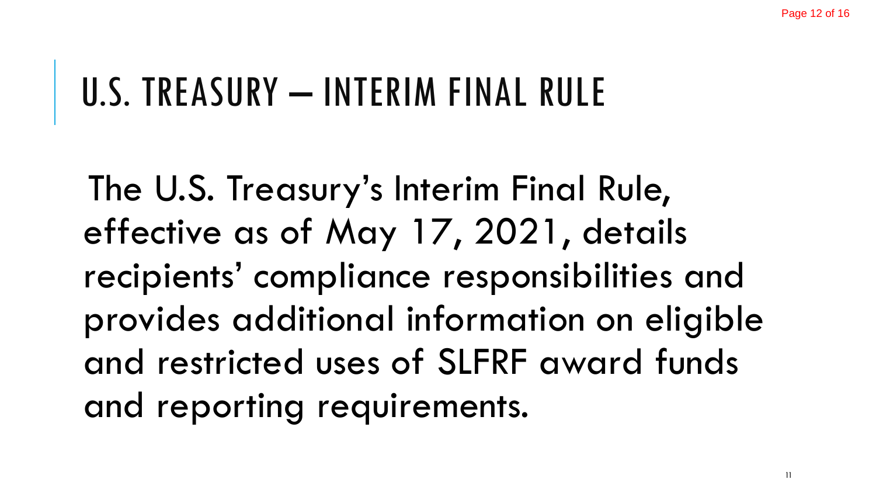#### U.S. TREASURY - INTERIM FINAL RULE

The U.S. Treasury's Interim Final Rule, effective as of May 17, 2021, details recipients' compliance responsibilities and provides additional information on eligible and restricted uses of SLFRF award funds and reporting requirements.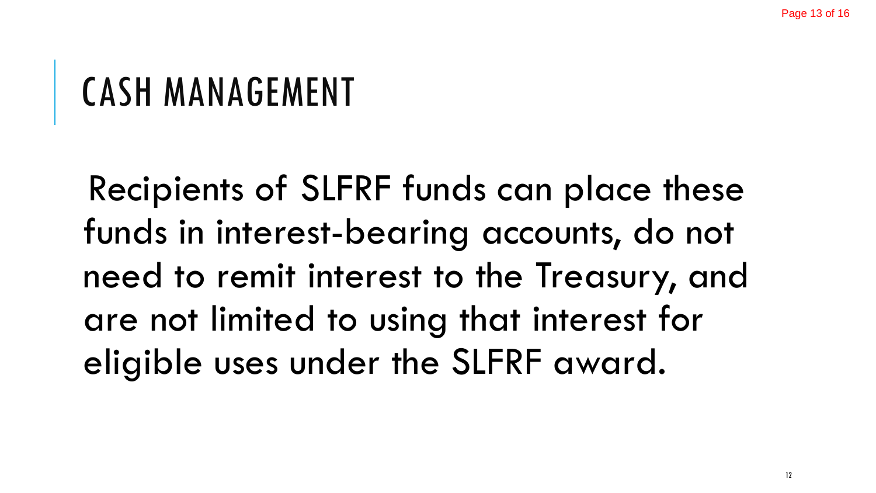## CASH MANAGEMENT

Recipients of SLFRF funds can place these funds in interest-bearing accounts, do not need to remit interest to the Treasury, and are not limited to using that interest for eligible uses under the SLFRF award.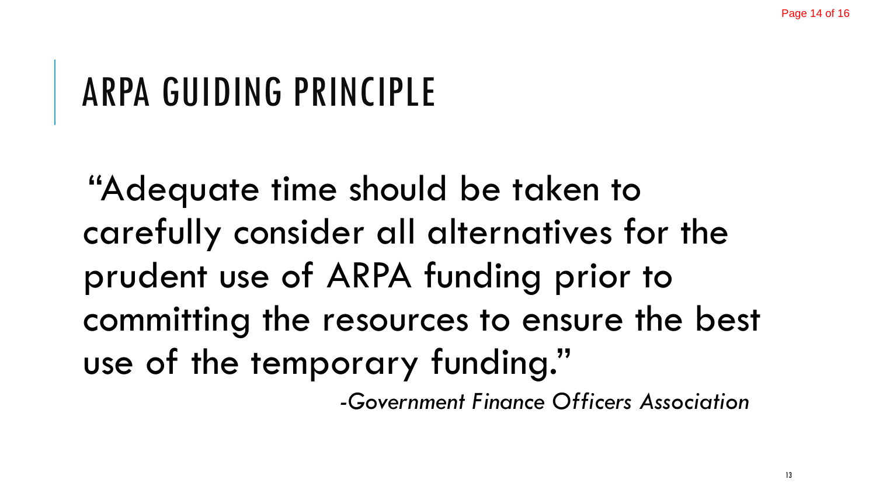#### ARPA GUIDING PRINCIPLE

"Adequate time should be taken to carefully consider all alternatives for the prudent use of ARPA funding prior to committing the resources to ensure the best use of the temporary funding."

*-Government Finance Officers Association*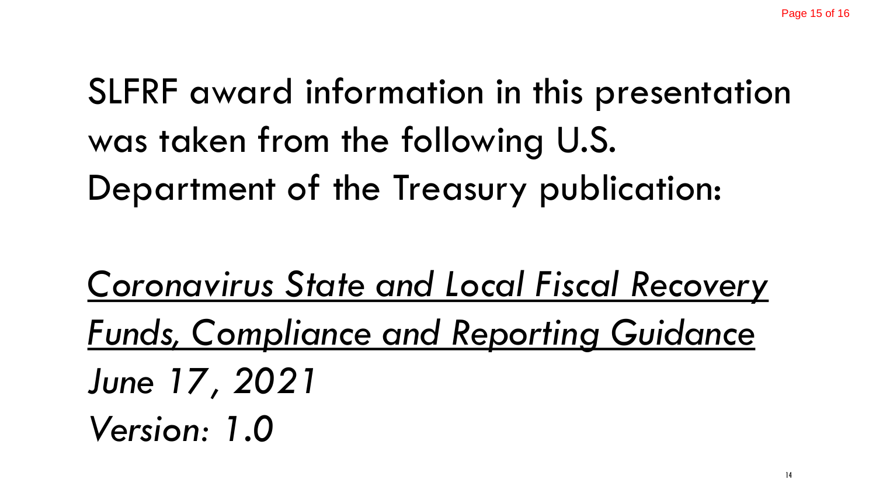SLFRF award information in this presentation was taken from the following U.S. Department of the Treasury publication:

*Coronavirus State and Local Fiscal Recovery Funds, Compliance and Reporting Guidance June 17, 2021 Version: 1.0*